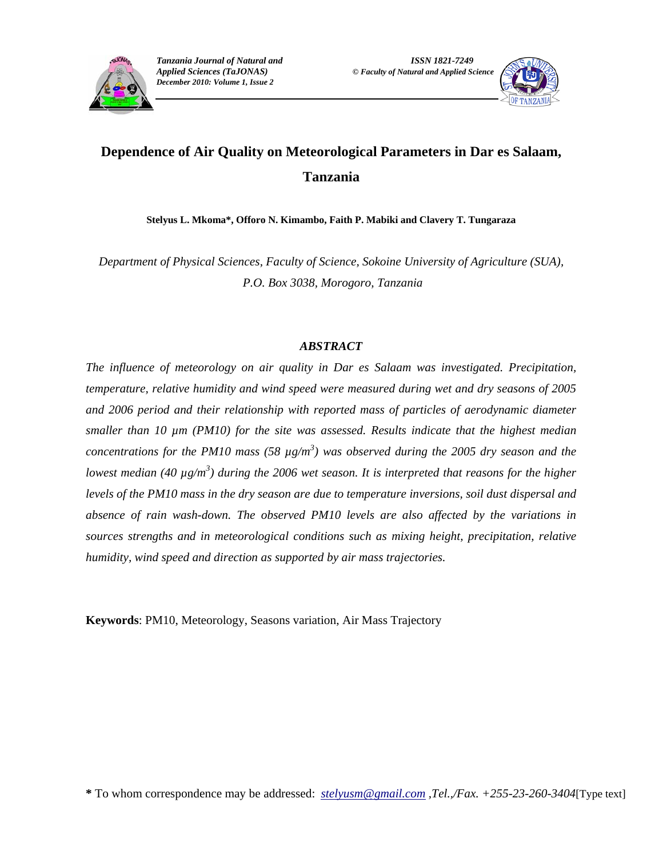



# **Dependence of Air Quality on Meteorological Parameters in Dar es Salaam, Tanzania**

**Stelyus L. Mkoma\*, Offoro N. Kimambo, Faith P. Mabiki and Clavery T. Tungaraza** 

*Department of Physical Sciences, Faculty of Science, Sokoine University of Agriculture (SUA), P.O. Box 3038, Morogoro, Tanzania* 

## *ABSTRACT*

*The influence of meteorology on air quality in Dar es Salaam was investigated. Precipitation, temperature, relative humidity and wind speed were measured during wet and dry seasons of 2005 and 2006 period and their relationship with reported mass of particles of aerodynamic diameter smaller than 10 µm (PM10) for the site was assessed. Results indicate that the highest median concentrations for the PM10 mass (58 µg/m<sup>3</sup> ) was observed during the 2005 dry season and the lowest median (40 µg/m<sup>3</sup>) during the 2006 wet season. It is interpreted that reasons for the higher levels of the PM10 mass in the dry season are due to temperature inversions, soil dust dispersal and absence of rain wash-down. The observed PM10 levels are also affected by the variations in sources strengths and in meteorological conditions such as mixing height, precipitation, relative humidity, wind speed and direction as supported by air mass trajectories.* 

**Keywords**: PM10, Meteorology, Seasons variation, Air Mass Trajectory

**\*** To whom correspondence may be addressed: *stelyusm@gmail.com ,Tel.,/Fax. +255-23-260-3404*[Type text]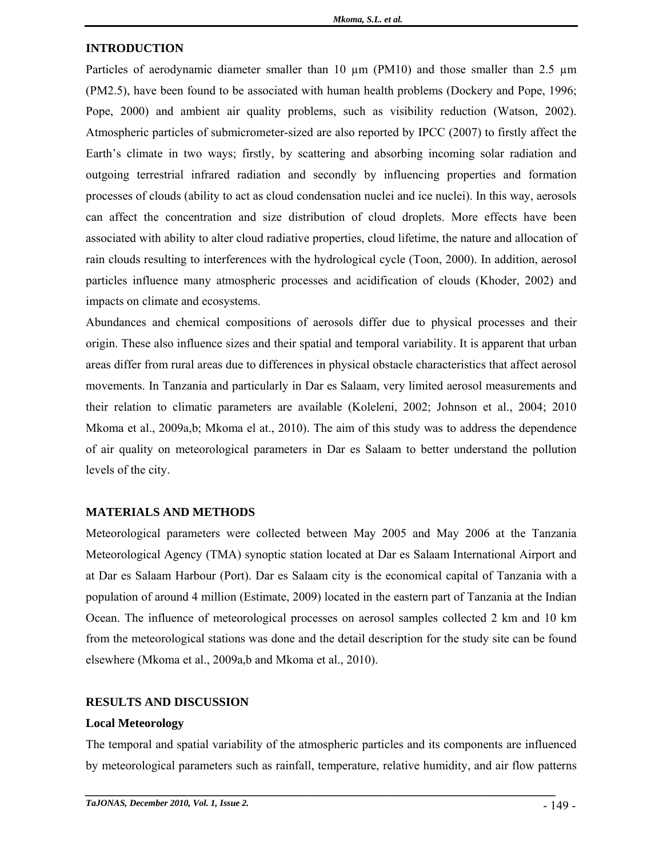#### **INTRODUCTION**

Particles of aerodynamic diameter smaller than 10  $\mu$ m (PM10) and those smaller than 2.5  $\mu$ m (PM2.5), have been found to be associated with human health problems (Dockery and Pope, 1996; Pope, 2000) and ambient air quality problems, such as visibility reduction (Watson, 2002). Atmospheric particles of submicrometer-sized are also reported by IPCC (2007) to firstly affect the Earth's climate in two ways; firstly, by scattering and absorbing incoming solar radiation and outgoing terrestrial infrared radiation and secondly by influencing properties and formation processes of clouds (ability to act as cloud condensation nuclei and ice nuclei). In this way, aerosols can affect the concentration and size distribution of cloud droplets. More effects have been associated with ability to alter cloud radiative properties, cloud lifetime, the nature and allocation of rain clouds resulting to interferences with the hydrological cycle (Toon, 2000). In addition, aerosol particles influence many atmospheric processes and acidification of clouds (Khoder, 2002) and impacts on climate and ecosystems.

Abundances and chemical compositions of aerosols differ due to physical processes and their origin. These also influence sizes and their spatial and temporal variability. It is apparent that urban areas differ from rural areas due to differences in physical obstacle characteristics that affect aerosol movements. In Tanzania and particularly in Dar es Salaam, very limited aerosol measurements and their relation to climatic parameters are available (Koleleni, 2002; Johnson et al., 2004; 2010 Mkoma et al., 2009a,b; Mkoma el at., 2010). The aim of this study was to address the dependence of air quality on meteorological parameters in Dar es Salaam to better understand the pollution levels of the city.

#### **MATERIALS AND METHODS**

Meteorological parameters were collected between May 2005 and May 2006 at the Tanzania Meteorological Agency (TMA) synoptic station located at Dar es Salaam International Airport and at Dar es Salaam Harbour (Port). Dar es Salaam city is the economical capital of Tanzania with a population of around 4 million (Estimate, 2009) located in the eastern part of Tanzania at the Indian Ocean. The influence of meteorological processes on aerosol samples collected 2 km and 10 km from the meteorological stations was done and the detail description for the study site can be found elsewhere (Mkoma et al., 2009a,b and Mkoma et al., 2010).

#### **RESULTS AND DISCUSSION**

#### **Local Meteorology**

The temporal and spatial variability of the atmospheric particles and its components are influenced by meteorological parameters such as rainfall, temperature, relative humidity, and air flow patterns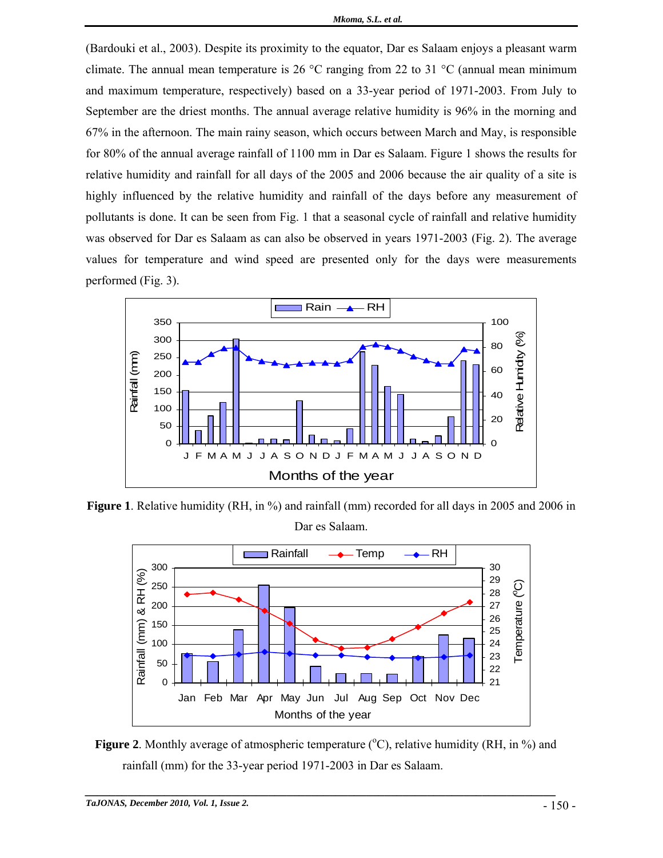(Bardouki et al., 2003). Despite its proximity to the equator, Dar es Salaam enjoys a pleasant warm climate. The annual mean temperature is 26  $\degree$ C ranging from 22 to 31  $\degree$ C (annual mean minimum and maximum temperature, respectively) based on a 33-year period of 1971-2003. From July to September are the driest months. The annual average relative humidity is 96% in the morning and 67% in the afternoon. The main rainy season, which occurs between March and May, is responsible for 80% of the annual average rainfall of 1100 mm in Dar es Salaam. Figure 1 shows the results for relative humidity and rainfall for all days of the 2005 and 2006 because the air quality of a site is highly influenced by the relative humidity and rainfall of the days before any measurement of pollutants is done. It can be seen from Fig. 1 that a seasonal cycle of rainfall and relative humidity was observed for Dar es Salaam as can also be observed in years 1971-2003 (Fig. 2). The average values for temperature and wind speed are presented only for the days were measurements performed (Fig. 3).



**Figure 1**. Relative humidity (RH, in %) and rainfall (mm) recorded for all days in 2005 and 2006 in



Figure 2. Monthly average of atmospheric temperature (°C), relative humidity (RH, in %) and rainfall (mm) for the 33-year period 1971-2003 in Dar es Salaam.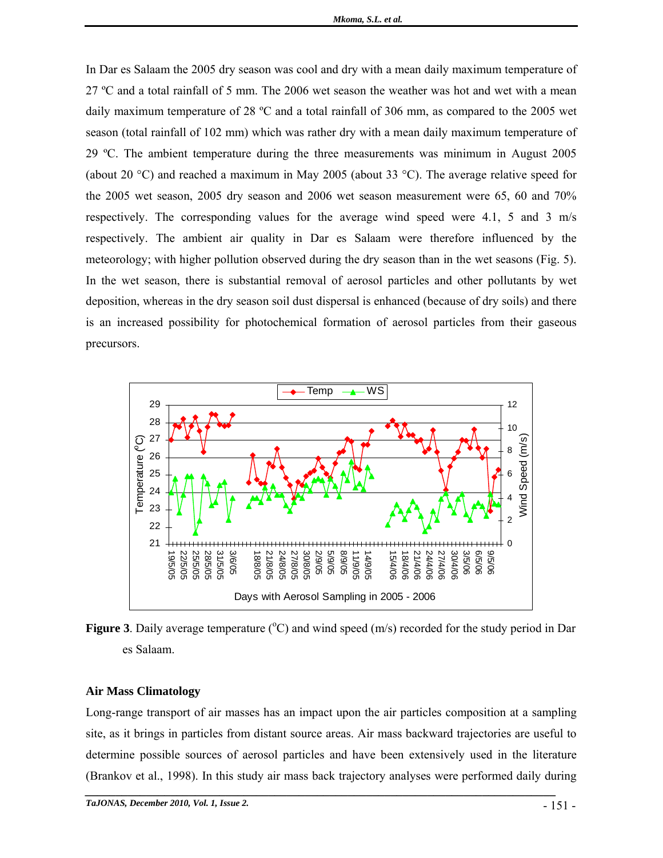In Dar es Salaam the 2005 dry season was cool and dry with a mean daily maximum temperature of 27 ºC and a total rainfall of 5 mm. The 2006 wet season the weather was hot and wet with a mean daily maximum temperature of 28 ºC and a total rainfall of 306 mm, as compared to the 2005 wet season (total rainfall of 102 mm) which was rather dry with a mean daily maximum temperature of 29 ºC. The ambient temperature during the three measurements was minimum in August 2005 (about 20 °C) and reached a maximum in May 2005 (about 33 °C). The average relative speed for the 2005 wet season, 2005 dry season and 2006 wet season measurement were 65, 60 and 70% respectively. The corresponding values for the average wind speed were 4.1, 5 and 3 m/s respectively. The ambient air quality in Dar es Salaam were therefore influenced by the meteorology; with higher pollution observed during the dry season than in the wet seasons (Fig. 5). In the wet season, there is substantial removal of aerosol particles and other pollutants by wet deposition, whereas in the dry season soil dust dispersal is enhanced (because of dry soils) and there is an increased possibility for photochemical formation of aerosol particles from their gaseous precursors.



Figure 3. Daily average temperature  $({}^{\circ}C)$  and wind speed (m/s) recorded for the study period in Dar es Salaam.

#### **Air Mass Climatology**

Long-range transport of air masses has an impact upon the air particles composition at a sampling site, as it brings in particles from distant source areas. Air mass backward trajectories are useful to determine possible sources of aerosol particles and have been extensively used in the literature (Brankov et al., 1998). In this study air mass back trajectory analyses were performed daily during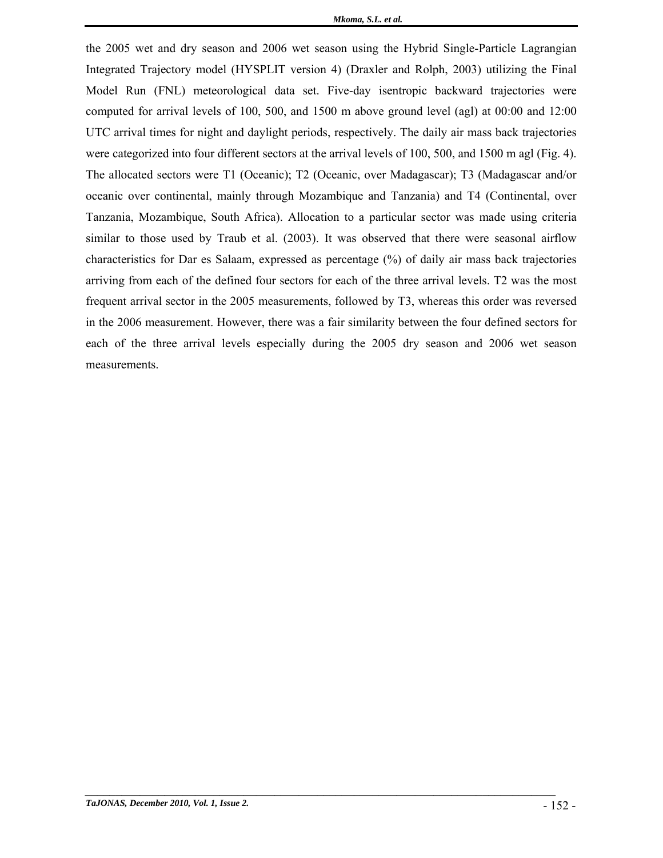the 2005 wet and dry season and 2006 wet season using the Hybrid Single-Particle Lagrangian Integrated Trajectory model (HYSPLIT version 4) (Draxler and Rolph, 2003) utilizing the Final Model Run (FNL) meteorological data set. Five-day isentropic backward trajectories were computed for arrival levels of 100, 500, and 1500 m above ground level (agl) at 00:00 and 12:00 UTC arrival times for night and daylight periods, respectively. The daily air mass back trajectories were categorized into four different sectors at the arrival levels of 100, 500, and 1500 m agl (Fig. 4). The allocated sectors were T1 (Oceanic); T2 (Oceanic, over Madagascar); T3 (Madagascar and/or oceanic over continental, mainly through Mozambique and Tanzania) and T4 (Continental, over Tanzania, Mozambique, South Africa). Allocation to a particular sector was made using criteria similar to those used by Traub et al. (2003). It was observed that there were seasonal airflow characteristics for Dar es Salaam, expressed as percentage (%) of daily air mass back trajectories arriving from each of the defined four sectors for each of the three arrival levels. T2 was the most frequent arrival sector in the 2005 measurements, followed by T3, whereas this order was reversed in the 2006 measurement. However, there was a fair similarity between the four defined sectors for each of the three arrival levels especially during the 2005 dry season and 2006 wet season measurements.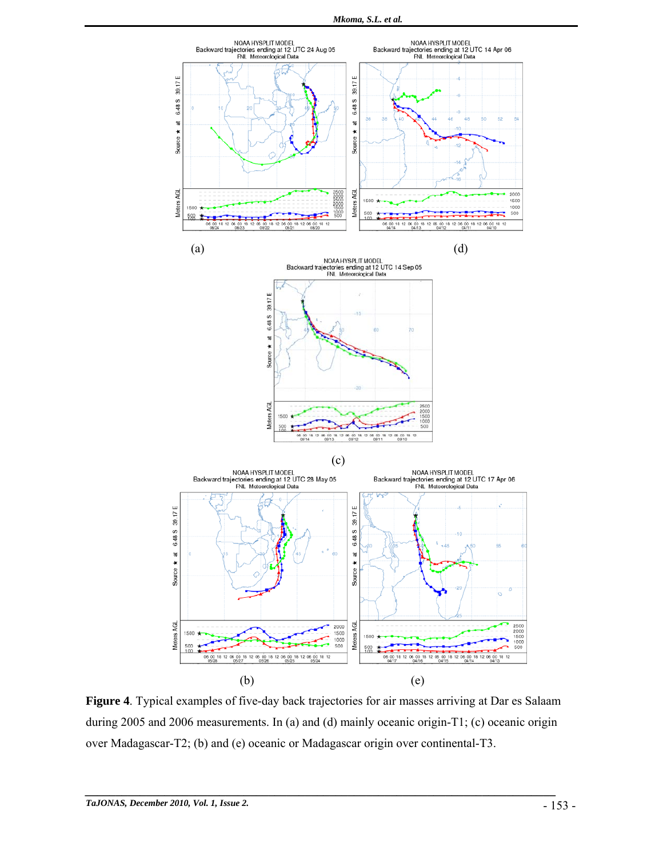

**Figure 4**. Typical examples of five-day back trajectories for air masses arriving at Dar es Salaam during 2005 and 2006 measurements. In (a) and (d) mainly oceanic origin-T1; (c) oceanic origin over Madagascar-T2; (b) and (e) oceanic or Madagascar origin over continental-T3.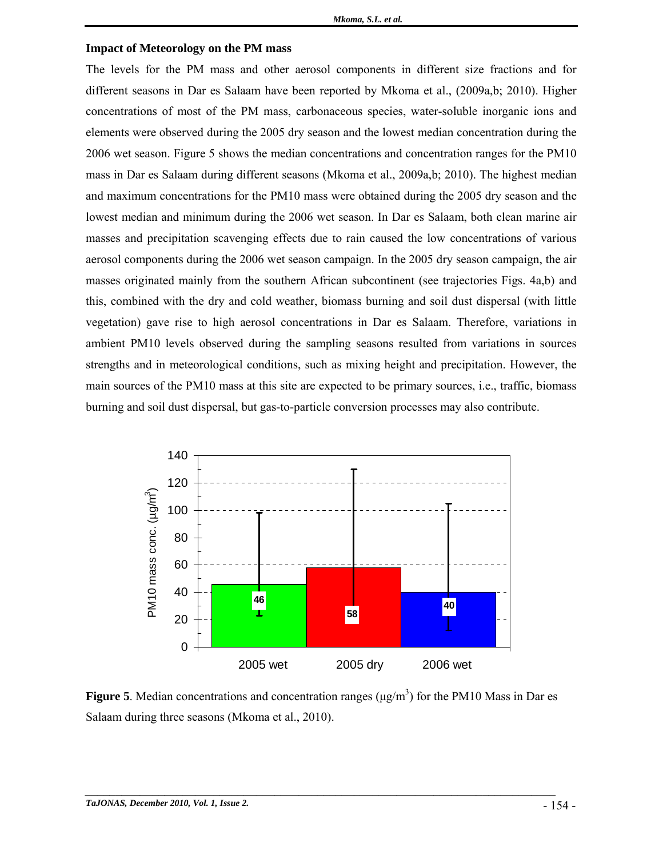#### **Impact of Meteorology on the PM mass**

The levels for the PM mass and other aerosol components in different size fractions and for different seasons in Dar es Salaam have been reported by Mkoma et al., (2009a,b; 2010). Higher concentrations of most of the PM mass, carbonaceous species, water-soluble inorganic ions and elements were observed during the 2005 dry season and the lowest median concentration during the 2006 wet season. Figure 5 shows the median concentrations and concentration ranges for the PM10 mass in Dar es Salaam during different seasons (Mkoma et al., 2009a,b; 2010). The highest median and maximum concentrations for the PM10 mass were obtained during the 2005 dry season and the lowest median and minimum during the 2006 wet season. In Dar es Salaam, both clean marine air masses and precipitation scavenging effects due to rain caused the low concentrations of various aerosol components during the 2006 wet season campaign. In the 2005 dry season campaign, the air masses originated mainly from the southern African subcontinent (see trajectories Figs. 4a,b) and this, combined with the dry and cold weather, biomass burning and soil dust dispersal (with little vegetation) gave rise to high aerosol concentrations in Dar es Salaam. Therefore, variations in ambient PM10 levels observed during the sampling seasons resulted from variations in sources strengths and in meteorological conditions, such as mixing height and precipitation. However, the main sources of the PM10 mass at this site are expected to be primary sources, i.e., traffic, biomass burning and soil dust dispersal, but gas-to-particle conversion processes may also contribute.



**Figure 5**. Median concentrations and concentration ranges ( $\mu$ g/m<sup>3</sup>) for the PM10 Mass in Dar es Salaam during three seasons (Mkoma et al., 2010).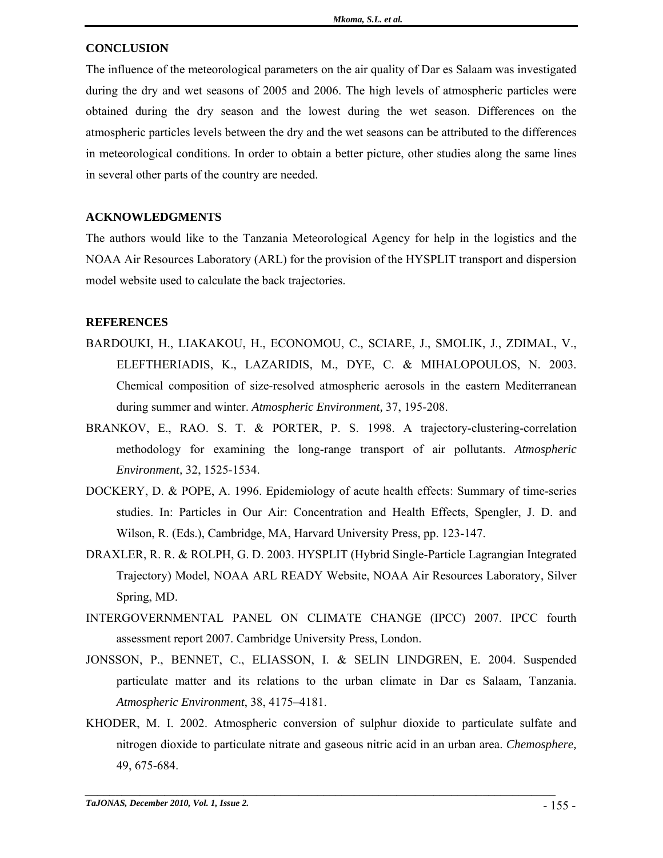### **CONCLUSION**

The influence of the meteorological parameters on the air quality of Dar es Salaam was investigated during the dry and wet seasons of 2005 and 2006. The high levels of atmospheric particles were obtained during the dry season and the lowest during the wet season. Differences on the atmospheric particles levels between the dry and the wet seasons can be attributed to the differences in meteorological conditions. In order to obtain a better picture, other studies along the same lines in several other parts of the country are needed.

### **ACKNOWLEDGMENTS**

The authors would like to the Tanzania Meteorological Agency for help in the logistics and the NOAA Air Resources Laboratory (ARL) for the provision of the HYSPLIT transport and dispersion model website used to calculate the back trajectories.

#### **REFERENCES**

- BARDOUKI, H., LIAKAKOU, H., ECONOMOU, C., SCIARE, J., SMOLIK, J., ZDIMAL, V., ELEFTHERIADIS, K., LAZARIDIS, M., DYE, C. & MIHALOPOULOS, N. 2003. Chemical composition of size-resolved atmospheric aerosols in the eastern Mediterranean during summer and winter. *Atmospheric Environment,* 37, 195-208.
- BRANKOV, E., RAO. S. T. & PORTER, P. S. 1998. A trajectory-clustering-correlation methodology for examining the long-range transport of air pollutants. *Atmospheric Environment,* 32, 1525-1534.
- DOCKERY, D. & POPE, A. 1996. Epidemiology of acute health effects: Summary of time-series studies. In: Particles in Our Air: Concentration and Health Effects, Spengler, J. D. and Wilson, R. (Eds.), Cambridge, MA, Harvard University Press, pp. 123-147.
- DRAXLER, R. R. & ROLPH, G. D. 2003. HYSPLIT (Hybrid Single-Particle Lagrangian Integrated Trajectory) Model, NOAA ARL READY Website, NOAA Air Resources Laboratory, Silver Spring, MD.
- INTERGOVERNMENTAL PANEL ON CLIMATE CHANGE (IPCC) 2007. IPCC fourth assessment report 2007. Cambridge University Press, London.
- JONSSON, P., BENNET, C., ELIASSON, I. & SELIN LINDGREN, E. 2004. Suspended particulate matter and its relations to the urban climate in Dar es Salaam, Tanzania. *Atmospheric Environment*, 38, 4175–4181.
- KHODER, M. I. 2002. Atmospheric conversion of sulphur dioxide to particulate sulfate and nitrogen dioxide to particulate nitrate and gaseous nitric acid in an urban area. *Chemosphere,*  49, 675-684.